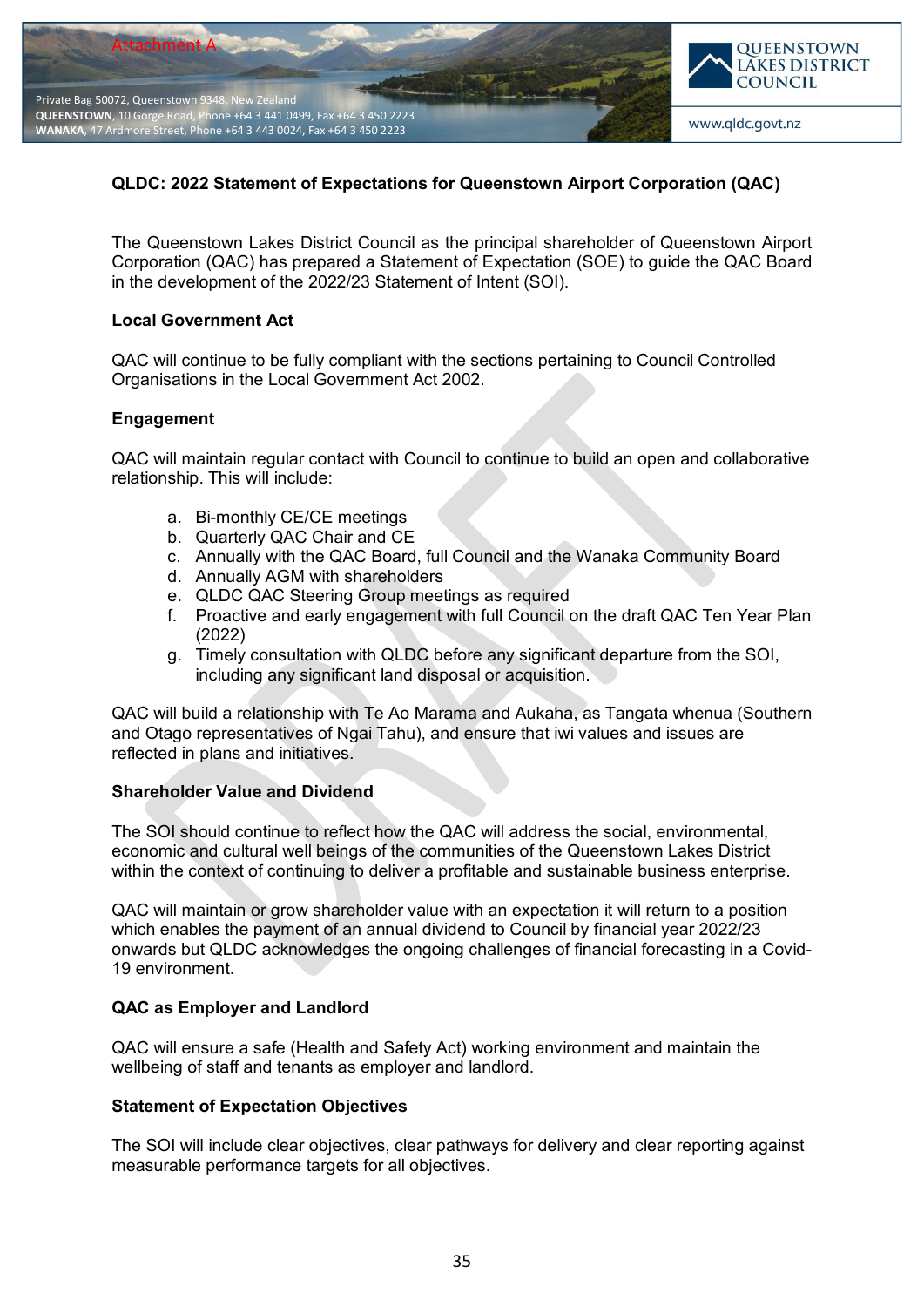

# **QLDC: 2022 Statement of Expectations for Queenstown Airport Corporation (QAC)**

The Queenstown Lakes District Council as the principal shareholder of Queenstown Airport Corporation (QAC) has prepared a Statement of Expectation (SOE) to guide the QAC Board in the development of the 2022/23 Statement of Intent (SOI).

#### **Local Government Act**

QAC will continue to be fully compliant with the sections pertaining to Council Controlled Organisations in the Local Government Act 2002.

#### **Engagement**

QAC will maintain regular contact with Council to continue to build an open and collaborative relationship. This will include:

- a. Bi-monthly CE/CE meetings
- b. Quarterly QAC Chair and CE
- c. Annually with the QAC Board, full Council and the Wanaka Community Board
- d. Annually AGM with shareholders
- e. QLDC QAC Steering Group meetings as required
- f. Proactive and early engagement with full Council on the draft QAC Ten Year Plan (2022)
- g. Timely consultation with QLDC before any significant departure from the SOI, including any significant land disposal or acquisition.

QAC will build a relationship with Te Ao Marama and Aukaha, as Tangata whenua (Southern and Otago representatives of Ngai Tahu), and ensure that iwi values and issues are reflected in plans and initiatives.

### **Shareholder Value and Dividend**

The SOI should continue to reflect how the QAC will address the social, environmental, economic and cultural well beings of the communities of the Queenstown Lakes District within the context of continuing to deliver a profitable and sustainable business enterprise.

QAC will maintain or grow shareholder value with an expectation it will return to a position which enables the payment of an annual dividend to Council by financial year 2022/23 onwards but QLDC acknowledges the ongoing challenges of financial forecasting in a Covid-19 environment.

### **QAC as Employer and Landlord**

QAC will ensure a safe (Health and Safety Act) working environment and maintain the wellbeing of staff and tenants as employer and landlord.

### **Statement of Expectation Objectives**

The SOI will include clear objectives, clear pathways for delivery and clear reporting against measurable performance targets for all objectives.